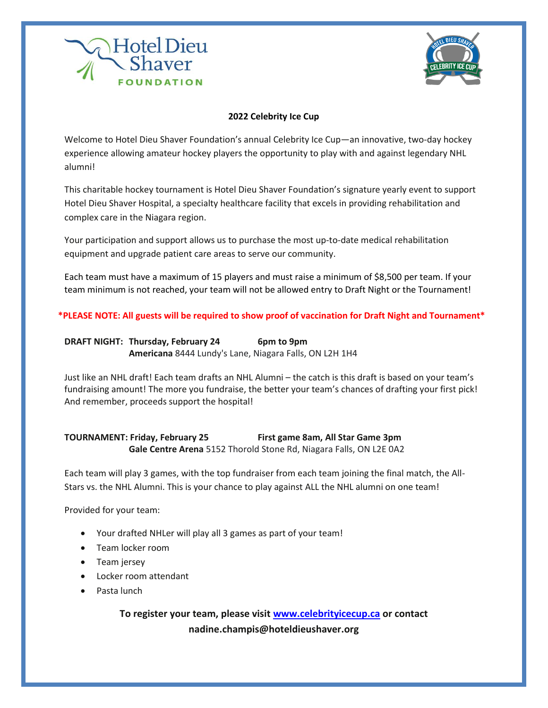



## **2022 Celebrity Ice Cup**

Welcome to Hotel Dieu Shaver Foundation's annual Celebrity Ice Cup—an innovative, two-day hockey experience allowing amateur hockey players the opportunity to play with and against legendary NHL alumni!

This charitable hockey tournament is Hotel Dieu Shaver Foundation's signature yearly event to support Hotel Dieu Shaver Hospital, a specialty healthcare facility that excels in providing rehabilitation and complex care in the Niagara region.

Your participation and support allows us to purchase the most up-to-date medical rehabilitation equipment and upgrade patient care areas to serve our community.

Each team must have a maximum of 15 players and must raise a minimum of \$8,500 per team. If your team minimum is not reached, your team will not be allowed entry to Draft Night or the Tournament!

## **\*PLEASE NOTE: All guests will be required to show proof of vaccination for Draft Night and Tournament\***

**DRAFT NIGHT: Thursday, February 24** 6pm to 9pm **Americana** 8444 Lundy's Lane, Niagara Falls, ON L2H 1H4

Just like an NHL draft! Each team drafts an NHL Alumni – the catch is this draft is based on your team's fundraising amount! The more you fundraise, the better your team's chances of drafting your first pick! And remember, proceeds support the hospital!

## **TOURNAMENT: Friday, February 25 First game 8am, All Star Game 3pm Gale Centre Arena** 5152 Thorold Stone Rd, Niagara Falls, ON L2E 0A2

Each team will play 3 games, with the top fundraiser from each team joining the final match, the All-Stars vs. the NHL Alumni. This is your chance to play against ALL the NHL alumni on one team!

Provided for your team:

- Your drafted NHLer will play all 3 games as part of your team!
- Team locker room
- Team jersey
- Locker room attendant
- Pasta lunch

**To register your team, please visit [www.celebrityicecup.ca](http://www.celebrityicecup.ca/) or contact nadine.champis@hoteldieushaver.org**